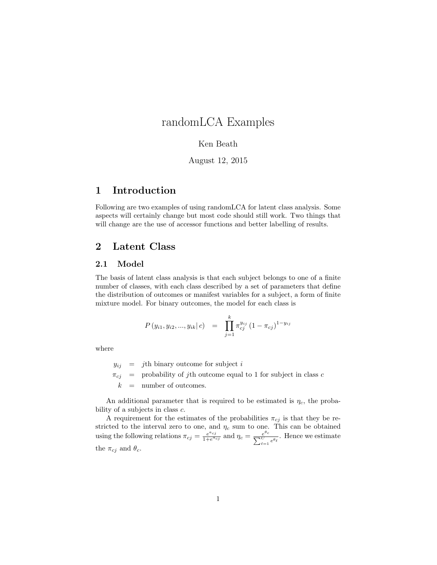# randomLCA Examples

### Ken Beath

## August 12, 2015

## 1 Introduction

Following are two examples of using randomLCA for latent class analysis. Some aspects will certainly change but most code should still work. Two things that will change are the use of accessor functions and better labelling of results.

## 2 Latent Class

## 2.1 Model

The basis of latent class analysis is that each subject belongs to one of a finite number of classes, with each class described by a set of parameters that define the distribution of outcomes or manifest variables for a subject, a form of finite mixture model. For binary outcomes, the model for each class is

$$
P(y_{i1}, y_{i2}, ..., y_{ik} | c) = \prod_{j=1}^{k} \pi_{cj}^{y_{ij}} (1 - \pi_{cj})^{1 - y_{ij}}
$$

where

 $y_{ij}$  = jth binary outcome for subject i  $\pi_{cj}$  = probability of jth outcome equal to 1 for subject in class c  $k =$  number of outcomes.

An additional parameter that is required to be estimated is  $\eta_c$ , the probability of a subjects in class  $c$ .

A requirement for the estimates of the probabilities  $\pi_{cj}$  is that they be restricted to the interval zero to one, and  $\eta_c$  sum to one. This can be obtained using the following relations  $\pi_{cj} = \frac{e^{a_{cj}}}{1 + e^{a_{cj}}}$  $\frac{e^{a_{cj}}}{1+e^{a_{cj}}}$  and  $\eta_c = \frac{e}{\sum_{\ell=1}^{C}}$  $\frac{e^{\theta_c}}{C}$   $\underset{\ell=1}{\overset{e^{\theta_{\ell}}}{\in}}$ . Hence we estimate the  $\pi_{cj}$  and  $\theta_c$ .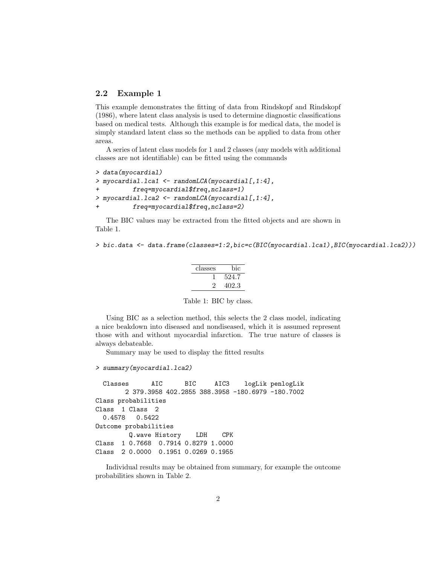## 2.2 Example 1

This example demonstrates the fitting of data from Rindskopf and Rindskopf (1986), where latent class analysis is used to determine diagnostic classifications based on medical tests. Although this example is for medical data, the model is simply standard latent class so the methods can be applied to data from other areas.

A series of latent class models for 1 and 2 classes (any models with additional classes are not identifiable) can be fitted using the commands

```
> data(myocardial)
> myocardial.lca1 <- randomLCA(myocardial[,1:4],
+ freq=myocardial$freq,nclass=1)
> myocardial.lca2 <- randomLCA(myocardial[,1:4],
         freq=myocardial$freq,nclass=2)
```
The BIC values may be extracted from the fitted objects and are shown in Table 1.

```
> bic.data <- data.frame(classes=1:2,bic=c(BIC(myocardial.lca1),BIC(myocardial.lca2)))
```

| classes | bic   |
|---------|-------|
|         | 524.7 |
|         | 402.3 |

Table 1: BIC by class.

Using BIC as a selection method, this selects the 2 class model, indicating a nice beakdown into diseased and nondiseased, which it is assumed represent those with and without myocardial infarction. The true nature of classes is always debateable.

Summary may be used to display the fitted results

```
> summary(myocardial.lca2)
```

```
Classes AIC BIC AIC3 logLik penlogLik
       2 379.3958 402.2855 388.3958 -180.6979 -180.7002
Class probabilities
Class 1 Class 2
 0.4578 0.5422
Outcome probabilities
        Q.wave History LDH CPK
Class 1 0.7668 0.7914 0.8279 1.0000
Class 2 0.0000 0.1951 0.0269 0.1955
```
Individual results may be obtained from summary, for example the outcome probabilities shown in Table 2.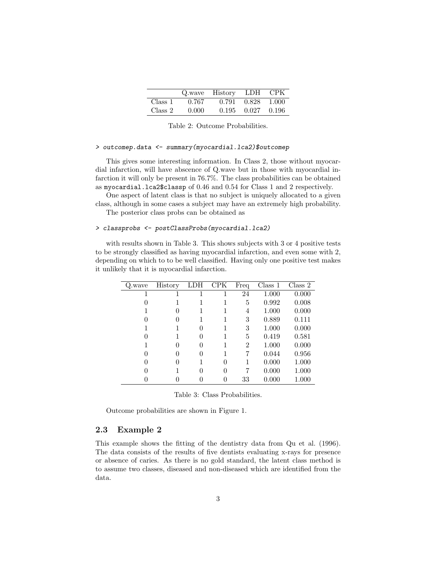|         |       | Q.wave History | <b>LDH</b> | – CPK   |
|---------|-------|----------------|------------|---------|
| Class 1 | 0.767 | 0.791          | 0.828      | - 1.000 |
| Class 2 | 0.000 | 0.195          | 0.027      | -0.196  |

Table 2: Outcome Probabilities.

#### > outcomep.data <- summary(myocardial.lca2)\$outcomep

This gives some interesting information. In Class 2, those without myocardial infarction, will have abscence of Q.wave but in those with myocardial infarction it will only be present in 76.7%. The class probabilities can be obtained as myocardial.lca2\$classp of 0.46 and 0.54 for Class 1 and 2 respectively.

One aspect of latent class is that no subject is uniquely allocated to a given class, although in some cases a subject may have an extremely high probability.

The posterior class probs can be obtained as

#### > classprobs <- postClassProbs(myocardial.lca2)

with results shown in Table 3. This shows subjects with 3 or 4 positive tests to be strongly classified as having myocardial infarction, and even some with 2, depending on which to to be well classified. Having only one positive test makes it unlikely that it is myocardial infarction.

| Q.wave       | History      | LDH      | <b>CPK</b> | Freq           | Class 1 | Class 2   |
|--------------|--------------|----------|------------|----------------|---------|-----------|
|              |              |          | 1          | 24             | 1.000   | 0.000     |
| $\mathbf{0}$ |              |          |            | 5              | 0.992   | 0.008     |
|              | $\mathbf{0}$ |          | 1          | 4              | 1.000   | 0.000     |
| $\mathbf{0}$ | $\mathbf{0}$ |          |            | 3              | 0.889   | 0.111     |
|              |              | $\Omega$ |            | 3              | 1.000   | 0.000     |
| $\mathbf{0}$ |              | 0        |            | 5              | 0.419   | 0.581     |
|              |              | 0        | 1          | $\overline{2}$ | 1.000   | 0.000     |
| $\Omega$     |              | 0        | 1          | 7              | 0.044   | 0.956     |
| 0            |              |          | 0          |                | 0.000   | 1.000     |
|              |              | 0        | 0          | 7              | 0.000   | 1.000     |
|              |              |          |            | 33             | 0.000   | $1.000\,$ |

Table 3: Class Probabilities.

Outcome probabilities are shown in Figure 1.

#### 2.3 Example 2

This example shows the fitting of the dentistry data from Qu et al. (1996). The data consists of the results of five dentists evaluating x-rays for presence or absence of caries. As there is no gold standard, the latent class method is to assume two classes, diseased and non-diseased which are identified from the data.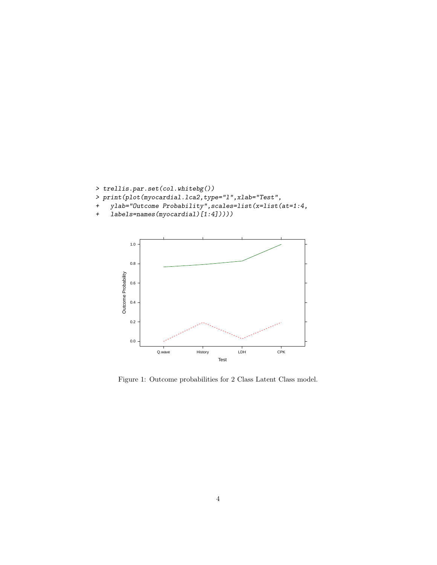

- > print(plot(myocardial.lca2,type="l",xlab="Test",
- + ylab="Outcome Probability",scales=list(x=list(at=1:4,
- + labels=names(myocardial)[1:4]))))



Figure 1: Outcome probabilities for 2 Class Latent Class model.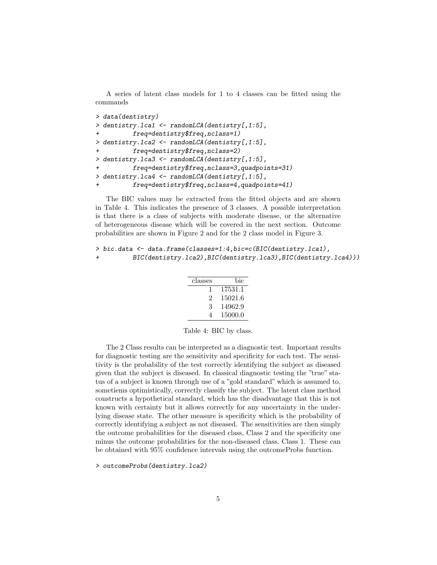A series of latent class models for 1 to 4 classes can be fitted using the commands

```
> data(dentistry)
> dentistry.lca1 <- randomLCA(dentistry[,1:5],
+ freq=dentistry$freq,nclass=1)
> dentistry.lca2 <- randomLCA(dentistry[,1:5],
+ freq=dentistry$freq,nclass=2)
> dentistry.lca3 <- randomLCA(dentistry[,1:5],
+ freq=dentistry$freq,nclass=3,quadpoints=31)
> dentistry.lca4 <- randomLCA(dentistry[,1:5],
+ freq=dentistry$freq,nclass=4,quadpoints=41)
```
The BIC values may be extracted from the fitted objects and are shown in Table 4. This indicates the presence of 3 classes. A possible interpretation is that there is a class of subjects with moderate disease, or the alternative of heterogeneous disease which will be covered in the next section. Outcome probabilities are shown in Figure 2 and for the 2 class model in Figure 3.

```
> bic.data <- data.frame(classes=1:4,bic=c(BIC(dentistry.lca1),
+ BIC(dentistry.lca2),BIC(dentistry.lca3),BIC(dentistry.lca4)))
```

| classes | bic     |
|---------|---------|
|         | 17531.1 |
| 2       | 15021.6 |
| 3       | 14962.9 |
| 4       | 15000.0 |

Table 4: BIC by class.

The 2 Class results can be interpreted as a diagnostic test. Important results for diagnostic testing are the sensitivity and specificity for each test. The sensitivity is the probability of the test correctly identifying the subject as diseased given that the subject is diseased. In classical diagnostic testing the "true" status of a subject is known through use of a "gold standard" which is assumed to, sometiems optimistically, correctly classify the subject. The latent class method constructs a hypothetical standard, which has the disadvantage that this is not known with certainty but it allows correctly for any uncertainty in the underlying disease state. The other measure is specificity which is the probability of correctly identifying a subject as not diseased. The sensitivities are then simply the outcome probabilities for the diseased class, Class 2 and the specificity one minus the outcome probabilities for the non-diseased class, Class 1. These can be obtained with 95% confidence intervals using the outcomeProbs function.

> outcomeProbs(dentistry.lca2)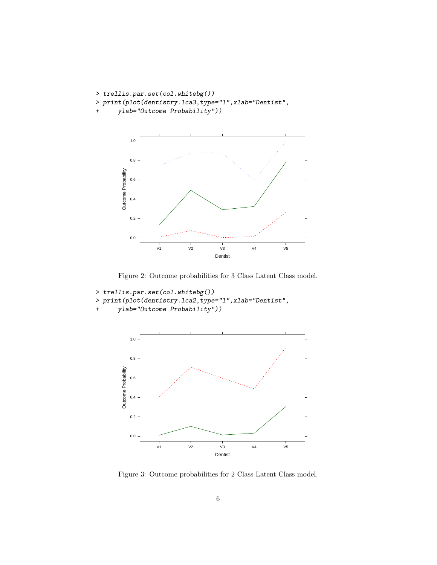```
> trellis.par.set(col.whitebg())
```
- > print(plot(dentistry.lca3,type="l",xlab="Dentist",
- + ylab="Outcome Probability"))



Figure 2: Outcome probabilities for 3 Class Latent Class model.

```
> trellis.par.set(col.whitebg())
```
- > print(plot(dentistry.lca2,type="l",xlab="Dentist",
- + ylab="Outcome Probability"))



Figure 3: Outcome probabilities for 2 Class Latent Class model.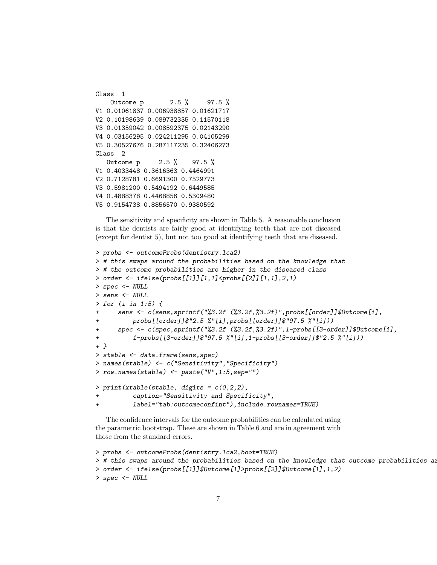Class 1 Outcome p 2.5 % 97.5 % V1 0.01061837 0.006938857 0.01621717 V2 0.10198639 0.089732335 0.11570118 V3 0.01359042 0.008592375 0.02143290 V4 0.03156295 0.024211295 0.04105299 V5 0.30527676 0.287117235 0.32406273 Class 2 Outcome p 2.5 % 97.5 % V1 0.4033448 0.3616363 0.4464991 V2 0.7128781 0.6691300 0.7529773 V3 0.5981200 0.5494192 0.6449585 V4 0.4888378 0.4468856 0.5309480 V5 0.9154738 0.8856570 0.9380592

The sensitivity and specificity are shown in Table 5. A reasonable conclusion is that the dentists are fairly good at identifying teeth that are not diseased (except for dentist 5), but not too good at identifying teeth that are diseased.

```
> probs <- outcomeProbs(dentistry.lca2)
> # this swaps around the probabilities based on the knowledge that
> # the outcome probabilities are higher in the diseased class
> order <- ifelse(probs[[1]][1,1]<probs[[2]][1,1],2,1)
> spec <- NULL
> sens <- NULL
> for (i in 1:5) {
      + sens <- c(sens,sprintf("%3.2f (%3.2f,%3.2f)",probs[[order]]$Outcome[i],
+ probs[[order]]$"2.5 %"[i],probs[[order]]$"97.5 %"[i]))
     spec \leq c(spec,sprintf("%3.2f (%3.2f,%3.2f)",1-probs[[3-order]]$Outcome[i],
+ 1-probs[[3-order]]$"97.5 %"[i],1-probs[[3-order]]$"2.5 %"[i]))
+ }
> stable <- data.frame(sens,spec)
> names(stable) <- c("Sensitivity","Specificity")
> row.names(stable) <- paste("V",1:5,sep="")
> print(xtable(stable, digits = c(0, 2, 2)),caption="Sensitivity and Specificity",
+ label="tab:outcomeconfint"),include.rownames=TRUE)
```
The confidence intervals for the outcome probabilities can be calculated using the parametric bootstrap. These are shown in Table 6 and are in agreement with those from the standard errors.

```
> probs <- outcomeProbs(dentistry.lca2,boot=TRUE)
> # this swaps around the probabilities based on the knowledge that outcome probabilities are
> order <- ifelse(probs[[1]]$Outcome[1]>probs[[2]]$Outcome[1],1,2)
> spec <- NULL
```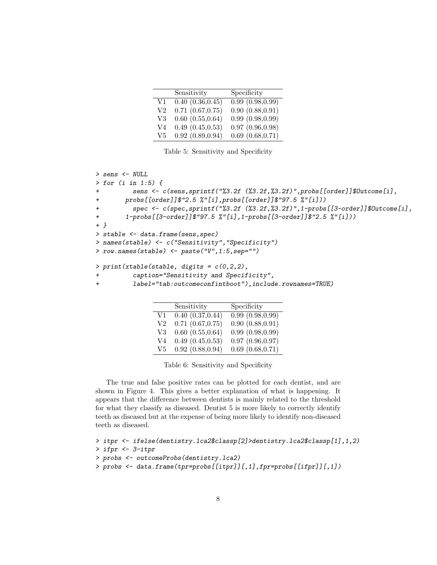|     | Sensitivity                      | Specificity           |
|-----|----------------------------------|-----------------------|
| V1  | $\overline{0.40}$ $(0.36, 0.45)$ | 0.99(0.98, 0.99)      |
| V2  | $0.71$ $(0.67, 0.75)$            | 0.90(0.88, 0.91)      |
| V3  | 0.60(0.55, 0.64)                 | 0.99(0.98, 0.99)      |
| V4  | 0.49(0.45, 0.53)                 | 0.97(0.96, 0.98)      |
| V5. | 0.92(0.89, 0.94)                 | $0.69$ $(0.68, 0.71)$ |

Table 5: Sensitivity and Specificity

```
> sens <- NULL
> for (i in 1:5) {
         + sens <- c(sens,sprintf("%3.2f (%3.2f,%3.2f)",probs[[order]]$Outcome[i],
+ probs[[order]]$"2.5 %"[i],probs[[order]]$"97.5 %"[i]))
+ spec <- c(spec,sprintf("%3.2f (%3.2f,%3.2f)",1-probs[[3-order]]$Outcome[i],
+ 1-probs[[3-order]]$"97.5 %"[i],1-probs[[3-order]]$"2.5 %"[i]))
+ }
> stable <- data.frame(sens,spec)
> names(stable) <- c("Sensitivity","Specificity")
> row.names(stable) <- paste("V",1:5,sep="")
> print(xtable(stable, digits = c(0, 2, 2)),
         caption="Sensitivity and Specificity",
         + label="tab:outcomeconfintboot"),include.rownames=TRUE)
```

|          | Sensitivity           | Specificity                      |
|----------|-----------------------|----------------------------------|
| V1       | 0.40(0.37, 0.44)      | $\overline{0.99}$ $(0.98, 0.99)$ |
| $\rm V2$ | $0.71$ $(0.67, 0.75)$ | 0.90(0.88, 0.91)                 |
| V3       | 0.60(0.55, 0.64)      | 0.99(0.98, 0.99)                 |
| V4       | 0.49(0.45, 0.53)      | 0.97(0.96, 0.97)                 |
| V5.      | 0.92(0.88, 0.94)      | $0.69$ $(0.68, 0.71)$            |

Table 6: Sensitivity and Specificity

The true and false positive rates can be plotted for each dentist, and are shown in Figure 4. This gives a better explanation of what is happening. It appears that the difference between dentists is mainly related to the threshold for what they classify as diseased. Dentist 5 is more likely to correctly identify teeth as diseased but at the expense of being more likely to identify non-diseased teeth as diseased.

```
> itpr <- ifelse(dentistry.lca2$classp[2]>dentistry.lca2$classp[1],1,2)
> ifpr <- 3-itpr
> probs <- outcomeProbs(dentistry.lca2)
> probs <- data.frame(tpr=probs[[itpr]][,1],fpr=probs[[ifpr]][,1])
```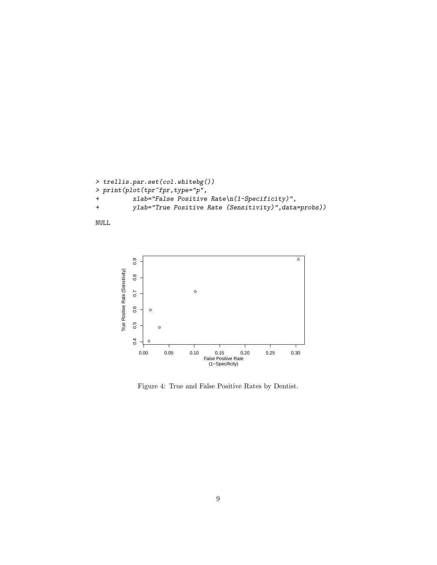```
> trellis.par.set(col.whitebg())
> \emph{print(plot(tpr ``fpr, type="p'',+ xlab="False Positive Rate\n(1-Specificity)",
+ ylab="True Positive Rate (Sensitivity)",data=probs))
```




Figure 4: True and False Positive Rates by Dentist.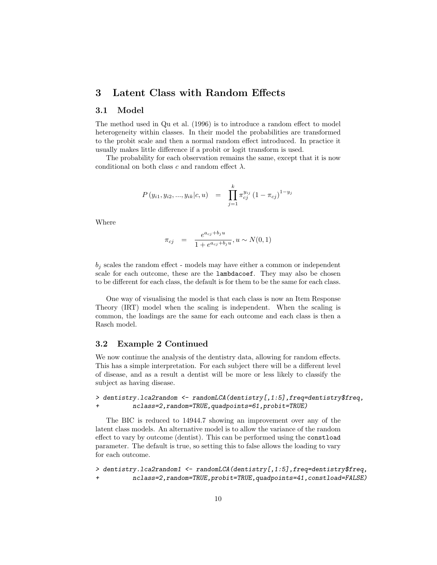## 3 Latent Class with Random Effects

### 3.1 Model

The method used in Qu et al. (1996) is to introduce a random effect to model heterogeneity within classes. In their model the probabilities are transformed to the probit scale and then a normal random effect introduced. In practice it usually makes little difference if a probit or logit transform is used.

The probability for each observation remains the same, except that it is now conditional on both class c and random effect  $\lambda$ .

$$
P(y_{i1}, y_{i2}, ..., y_{ik}|c, u) = \prod_{j=1}^{k} \pi_{cj}^{y_{ij}} (1 - \pi_{cj})^{1 - y_{j}}
$$

Where

$$
\pi_{cj} = \frac{e^{a_{cj} + b_j u}}{1 + e^{a_{cj} + b_j u}}, u \sim N(0, 1)
$$

 $b_i$  scales the random effect - models may have either a common or independent scale for each outcome, these are the lambdacoef. They may also be chosen to be different for each class, the default is for them to be the same for each class.

One way of visualising the model is that each class is now an Item Response Theory (IRT) model when the scaling is independent. When the scaling is common, the loadings are the same for each outcome and each class is then a Rasch model.

### 3.2 Example 2 Continued

We now continue the analysis of the dentistry data, allowing for random effects. This has a simple interpretation. For each subject there will be a different level of disease, and as a result a dentist will be more or less likely to classify the subject as having disease.

### > dentistry.lca2random <- randomLCA(dentistry[,1:5],freq=dentistry\$freq, + nclass=2,random=TRUE,quadpoints=61,probit=TRUE)

The BIC is reduced to 14944.7 showing an improvement over any of the latent class models. An alternative model is to allow the variance of the random effect to vary by outcome (dentist). This can be performed using the constload parameter. The default is true, so setting this to false allows the loading to vary for each outcome.

> dentistry.lca2random1 <- randomLCA(dentistry[,1:5],freq=dentistry\$freq, + nclass=2,random=TRUE,probit=TRUE,quadpoints=41,constload=FALSE)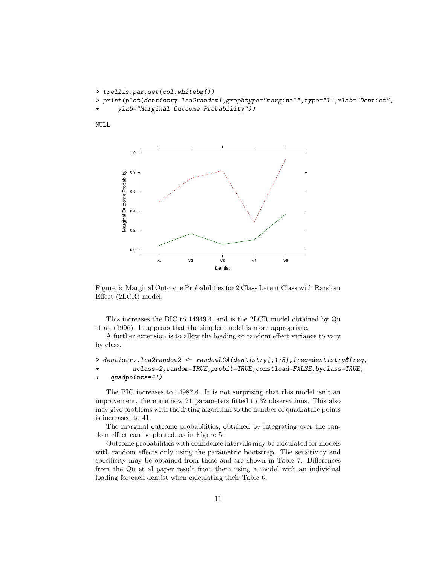```
> trellis.par.set(col.whitebg())
> print(plot(dentistry.lca2random1,graphtype="marginal",type="l",xlab="Dentist",
     ylab="Marginal Outcome Probability"))
```
NULL



Figure 5: Marginal Outcome Probabilities for 2 Class Latent Class with Random Effect (2LCR) model.

This increases the BIC to 14949.4, and is the 2LCR model obtained by Qu et al. (1996). It appears that the simpler model is more appropriate.

A further extension is to allow the loading or random effect variance to vary by class.

```
> dentistry.lca2random2 <- randomLCA(dentistry[,1:5],freq=dentistry$freq,
+ nclass=2,random=TRUE,probit=TRUE,constload=FALSE,byclass=TRUE,
+ quadpoints=41)
```
The BIC increases to 14987.6. It is not surprising that this model isn't an improvement, there are now 21 parameters fitted to 32 observations. This also may give problems with the fitting algorithm so the number of quadrature points is increased to 41.

The marginal outcome probabilities, obtained by integrating over the random effect can be plotted, as in Figure 5.

Outcome probabilities with confidence intervals may be calculated for models with random effects only using the parametric bootstrap. The sensitivity and specificity may be obtained from these and are shown in Table 7. Differences from the Qu et al paper result from them using a model with an individual loading for each dentist when calculating their Table 6.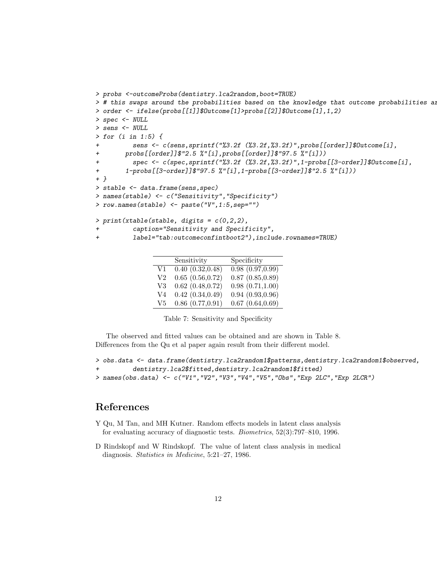```
> probs <-outcomeProbs(dentistry.lca2random,boot=TRUE)
> # this swaps around the probabilities based on the knowledge that outcome probabilities are
> order <- ifelse(probs[[1]]$Outcome[1]>probs[[2]]$Outcome[1],1,2)
> spec <- NULL
> sens <- NULL
> for (i in 1:5) {
          sens <- c(sens, sprintf("%3.2f (%3.2f, %3.2f)", probs[[order]]$Outcome[i],
+ probs[[order]]$"2.5 %"[i],probs[[order]]$"97.5 %"[i]))
          + spec <- c(spec,sprintf("%3.2f (%3.2f,%3.2f)",1-probs[[3-order]]$Outcome[i],
+ 1-probs[[3-order]]$"97.5 %"[i],1-probs[[3-order]]$"2.5 %"[i]))
+ }
> stable <- data.frame(sens,spec)
> names(stable) <- c("Sensitivity","Specificity")
> row.names(stable) <- paste("V",1:5,sep="")
> print(xtable(stable, digits = c(0, 2, 2)),caption="Sensitivity and Specificity",
          + label="tab:outcomeconfintboot2"),include.rownames=TRUE)
```

|    | Sensitivity           | Specificity           |
|----|-----------------------|-----------------------|
| V1 | 0.40(0.32, 0.48)      | 0.98(0.97, 0.99)      |
| V2 | 0.65(0.56, 0.72)      | $0.87$ $(0.85, 0.89)$ |
| V3 | $0.62$ $(0.48, 0.72)$ | 0.98(0.71, 1.00)      |
| V4 | 0.42(0.34, 0.49)      | 0.94(0.93, 0.96)      |
| V5 | $0.86$ $(0.77, 0.91)$ | $0.67$ $(0.64, 0.69)$ |

Table 7: Sensitivity and Specificity

The observed and fitted values can be obtained and are shown in Table 8. Differences from the Qu et al paper again result from their different model.

```
> obs.data <- data.frame(dentistry.lca2random1$patterns,dentistry.lca2random1$observed,
          dentistry.lca2$fitted,dentistry.lca2random1$fitted)
> names(obs.data) <- c("V1","V2","V3","V4","V5","Obs","Exp 2LC","Exp 2LCR")
```
## References

- Y Qu, M Tan, and MH Kutner. Random effects models in latent class analysis for evaluating accuracy of diagnostic tests. Biometrics, 52(3):797–810, 1996.
- D Rindskopf and W Rindskopf. The value of latent class analysis in medical diagnosis. Statistics in Medicine, 5:21–27, 1986.